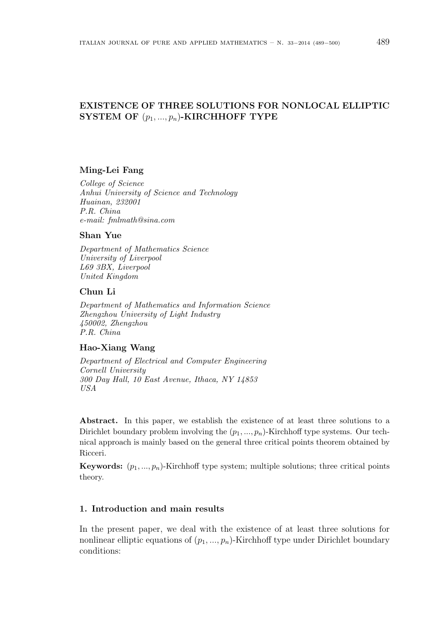# EXISTENCE OF THREE SOLUTIONS FOR NONLOCAL ELLIPTIC SYSTEM OF  $(p_1, ..., p_n)$ -KIRCHHOFF TYPE

### Ming-Lei Fang

College of Science Anhui University of Science and Technology Huainan, 232001 P.R. China e-mail: fmlmath@sina.com

### Shan Yue

Department of Mathematics Science University of Liverpool L69 3BX, Liverpool United Kingdom

### Chun Li

Department of Mathematics and Information Science Zhengzhou University of Light Industry 450002, Zhengzhou P.R. China

# Hao-Xiang Wang

Department of Electrical and Computer Engineering Cornell University 300 Day Hall, 10 East Avenue, Ithaca, NY 14853 USA

Abstract. In this paper, we establish the existence of at least three solutions to a Dirichlet boundary problem involving the  $(p_1, ..., p_n)$ -Kirchhoff type systems. Our technical approach is mainly based on the general three critical points theorem obtained by Ricceri.

**Keywords:**  $(p_1, ..., p_n)$ -Kirchhoff type system; multiple solutions; three critical points theory.

## 1. Introduction and main results

In the present paper, we deal with the existence of at least three solutions for nonlinear elliptic equations of  $(p_1, ..., p_n)$ -Kirchhoff type under Dirichlet boundary conditions: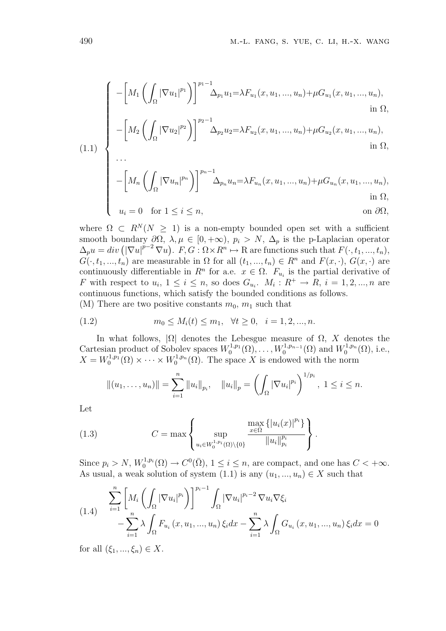$$
\begin{cases}\n-\left[M_1\left(\int_{\Omega}|\nabla u_1|^{p_1}\right)\right]^{p_1-1}\Delta_{p_1}u_1 = \lambda F_{u_1}(x, u_1, ..., u_n) + \mu G_{u_1}(x, u_1, ..., u_n), \\
\qquad \qquad \text{in } \Omega, \\
-\left[M_2\left(\int_{\Omega}|\nabla u_2|^{p_2}\right)\right]^{p_2-1}\Delta_{p_2}u_2 = \lambda F_{u_2}(x, u_1, ..., u_n) + \mu G_{u_2}(x, u_1, ..., u_n),\n\end{cases}
$$

(1.1) 
$$
\left\{\n\begin{aligned}\n-\left[M_2\left(\int_{\Omega} |\nabla u_2|^{p_2}\right)\right]^{p_2-1} \Delta_{p_2} u_2 = \lambda F_{u_2}(x, u_1, ..., u_n) + \mu G_{u_2}(x, u_1, ..., u_n), \\
\text{in } \Omega,\n\end{aligned}\n\right.
$$

$$
\left[\begin{array}{c}\cdots\\-\left[M_n\left(\int_{\Omega}|\nabla u_n|^{p_n}\right)\right]^{p_n-1}\Delta_{p_n}u_n=\lambda F_{u_n}(x,u_1,\ldots,u_n)+\mu G_{u_n}(x,u_1,\ldots,u_n),\\ \text{in }\Omega,\end{array}\right]
$$

$$
u_i = 0 \quad \text{for } 1 \le i \le n,
$$
 on  $\partial \Omega$ ,

where  $\Omega \subset R^N(N \geq 1)$  is a non-empty bounded open set with a sufficient smooth boundary  $\partial\Omega$ ,  $\lambda$ ,  $\mu \in [0, +\infty)$ ,  $p_i > N$ ,  $\Delta_p$  is the p-Laplacian operator  $\Delta_p u = div \left( |\nabla u|^{p-2} \nabla u \right)$ .  $F, G : \Omega \times R^n \mapsto \mathbb{R}$  are functions such that  $F(\cdot, t_1, ..., t_n)$ ,  $F, G: \Omega \times \mathbb{R}^n \mapsto \mathbb{R}$  are functions such that  $F(\cdot, t_1, ..., t_n)$ ,  $G(\cdot, t_1, ..., t_n)$  are measurable in  $\Omega$  for all  $(t_1, ..., t_n) \in R^n$  and  $F(x, \cdot), G(x, \cdot)$  are continuously differentiable in  $R^n$  for a.e.  $x \in \Omega$ .  $F_{u_i}$  is the partial derivative of F with respect to  $u_i$ ,  $1 \leq i \leq n$ , so does  $G_{u_i}$ .  $M_i: R^+ \to R$ ,  $i = 1, 2, ..., n$  are continuous functions, which satisfy the bounded conditions as follows. (M) There are two positive constants  $m_0$ ,  $m_1$  such that

(1.2) 
$$
m_0 \le M_i(t) \le m_1, \quad \forall t \ge 0, \quad i = 1, 2, ..., n.
$$

In what follows,  $|\Omega|$  denotes the Lebesgue measure of  $\Omega$ , X denotes the Cartesian product of Sobolev spaces  $W_0^{1,p_1}(\Omega), \ldots, W_0^{1,p_{n-1}}(\Omega)$  and  $W_0^{1,p_n}(\Omega)$ , i.e.,  $X = W_0^{1,p_1}(\Omega) \times \cdots \times W_0^{1,p_n}(\Omega)$ . The space X is endowed with the norm

$$
||(u_1,\ldots,u_n)|| = \sum_{i=1}^n ||u_i||_{p_i}, \quad ||u_i||_p = \left(\int_{\Omega} |\nabla u_i|^{p_i}\right)^{1/p_i}, \ 1 \leq i \leq n.
$$

Let

(1.3) 
$$
C = \max \left\{ \sup_{u_i \in W_0^{1, p_i}(\Omega) \setminus \{0\}} \frac{\max\limits_{x \in \bar{\Omega}} \{|u_i(x)|^{p_i}\}}{\|u_i\|_{p_i}^{p_i}} \right\}.
$$

Since  $p_i > N$ ,  $W_0^{1,p_i}(\Omega) \to C^0(\overline{\Omega})$ ,  $1 \le i \le n$ , are compact, and one has  $C < +\infty$ . As usual, a weak solution of system  $(1.1)$  is any  $(u_1, ..., u_n) \in X$  such that

(1.4) 
$$
\sum_{i=1}^{n} \left[ M_i \left( \int_{\Omega} |\nabla u_i|^{p_i} \right) \right]^{p_i-1} \int_{\Omega} |\nabla u_i|^{p_i-2} \nabla u_i \nabla \xi_i
$$

$$
- \sum_{i=1}^{n} \lambda \int_{\Omega} F_{u_i} (x, u_1, ..., u_n) \xi_i dx - \sum_{i=1}^{n} \lambda \int_{\Omega} G_{u_i} (x, u_1, ..., u_n) \xi_i dx = 0
$$

for all  $(\xi_1, ..., \xi_n) \in X$ .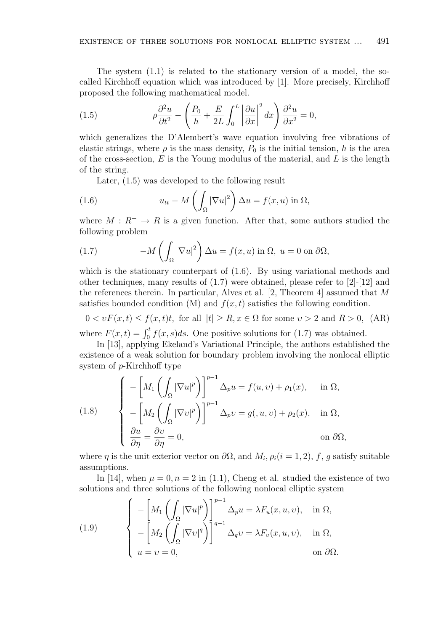The system  $(1.1)$  is related to the stationary version of a model, the socalled Kirchhoff equation which was introduced by [1]. More precisely, Kirchhoff proposed the following mathematical model.  $\ddot{\phantom{a}}$ 

(1.5) 
$$
\rho \frac{\partial^2 u}{\partial t^2} - \left(\frac{P_0}{h} + \frac{E}{2L} \int_0^L \left|\frac{\partial u}{\partial x}\right|^2 dx\right) \frac{\partial^2 u}{\partial x^2} = 0,
$$

which generalizes the D'Alembert's wave equation involving free vibrations of elastic strings, where  $\rho$  is the mass density,  $P_0$  is the initial tension, h is the area of the cross-section,  $E$  is the Young modulus of the material, and  $L$  is the length of the string.

Later, (1.5) was developed to the following result

(1.6) 
$$
u_{tt} - M\left(\int_{\Omega} |\nabla u|^2\right) \Delta u = f(x, u) \text{ in } \Omega,
$$

where  $M: R^+ \to R$  is a given function. After that, some authors studied the following problem

(1.7) 
$$
-M\left(\int_{\Omega}|\nabla u|^2\right)\Delta u = f(x,u)\text{ in }\Omega,\ u=0\text{ on }\partial\Omega,
$$

which is the stationary counterpart of (1.6). By using variational methods and other techniques, many results of (1.7) were obtained, please refer to [2]-[12] and the references therein. In particular, Alves et al.  $[2,$  Theorem 4 assumed that M satisfies bounded condition (M) and  $f(x, t)$  satisfies the following condition.

 $0 < vF(x,t) \le f(x,t)t$ , for all  $|t| \ge R$ ,  $x \in \Omega$  for some  $v > 2$  and  $R > 0$ , (AR) where  $F(x,t) = \int_0^t f(x,s)ds$ . One positive solutions for (1.7) was obtained.

In [13], applying Ekeland's Variational Principle, the authors established the existence of a weak solution for boundary problem involving the nonlocal elliptic system of p-Kirchhoff type

(1.8)  
\n
$$
\begin{cases}\n-\left[M_1\left(\int_{\Omega}|\nabla u|^p\right)\right]^{p-1}\Delta_p u = f(u,v) + \rho_1(x), & \text{in } \Omega, \\
-\left[M_2\left(\int_{\Omega}|\nabla v|^p\right)\right]^{p-1}\Delta_p v = g(u,v) + \rho_2(x), & \text{in } \Omega, \\
\frac{\partial u}{\partial \eta} = \frac{\partial v}{\partial \eta} = 0, & \text{on } \partial\Omega,\n\end{cases}
$$

where  $\eta$  is the unit exterior vector on  $\partial\Omega$ , and  $M_i$ ,  $\rho_i(i=1,2)$ , f, g satisfy suitable assumptions.

In [14], when  $\mu = 0, n = 2$  in (1.1), Cheng et al. studied the existence of two solutions and three solutions of the following nonlocal elliptic system  $\overline{\phantom{a}}$ 

(1.9) 
$$
\begin{cases}\n-\left[M_1\left(\int_{\Omega}|\nabla u|^p\right)\right]^{p-1}\Delta_p u = \lambda F_u(x, u, v), & \text{in } \Omega, \\
-\left[M_2\left(\int_{\Omega}|\nabla v|^q\right)\right]^{q-1}\Delta_q v = \lambda F_v(x, u, v), & \text{in } \Omega, \\
u = v = 0, & \text{on } \partial\Omega.\n\end{cases}
$$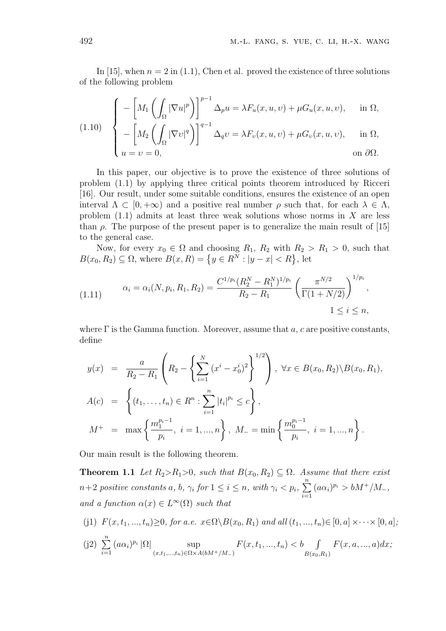In [15], when  $n = 2$  in (1.1), Chen et al. proved the existence of three solutions of the following problem

$$
\int_{\mathcal{I}(\Omega)} \int_{\Gamma} -\left[M_1\left(\int_{\Omega} |\nabla u|^p\right)\right]^{p-1} \Delta_p u = \lambda F_u(x, u, v) + \mu G_u(x, u, v), \quad \text{in } \Omega,
$$

$$
(1.10) \quad \begin{cases} -\left[M_2\left(\int_{\Omega} |\nabla v|^q\right)\right]^{q-1} \Delta_q v = \lambda F_v(x, u, v) + \mu G_v(x, u, v), & \text{in } \Omega, \\ u = v = 0, & \text{on } \partial \Omega. \end{cases}
$$

In this paper, our objective is to prove the existence of three solutions of problem (1.1) by applying three critical points theorem introduced by Ricceri [16]. Our result, under some suitable conditions, ensures the existence of an open interval  $\Lambda \subset [0, +\infty)$  and a positive real number  $\rho$  such that, for each  $\lambda \in \Lambda$ , problem  $(1.1)$  admits at least three weak solutions whose norms in X are less than  $\rho$ . The purpose of the present paper is to generalize the main result of [15] to the general case.

Now, for every  $x_0 \in \Omega$  and choosing  $R_1, R_2$  with  $R_2 > R_1 > 0$ , such that Now, for every  $x_0 \in \Omega$  and choosing  $R_1$ ,  $R_2$  with  $R_2 \ge B(x_0, R_2) \subseteq \Omega$ , where  $B(x, R) = \{y \in R^N : |y - x| < R\}$ , let

$$
(1.11) \qquad \alpha_i = \alpha_i(N, p_i, R_1, R_2) = \frac{C^{1/p_i}(R_2^N - R_1^N)^{1/p_i}}{R_2 - R_1} \left(\frac{\pi^{N/2}}{\Gamma(1 + N/2)}\right)^{1/p_i},
$$
\n
$$
1 \le i \le n,
$$

where  $\Gamma$  is the Gamma function. Moreover, assume that a, c are positive constants, define

$$
y(x) = \frac{a}{R_2 - R_1} \left( R_2 - \left\{ \sum_{i=1}^N (x^i - x_0^i)^2 \right\}^{1/2} \right), \ \forall x \in B(x_0, R_2) \backslash B(x_0, R_1),
$$
  

$$
A(c) = \left\{ (t_1, \dots, t_n) \in R^n : \sum_{i=1}^n |t_i|^{p_i} \le c \right\},
$$
  

$$
M^+ = \max \left\{ \frac{m_1^{p_i - 1}}{p_i}, \ i = 1, \dots, n \right\}, \ M_- = \min \left\{ \frac{m_0^{p_i - 1}}{p_i}, \ i = 1, \dots, n \right\}.
$$

Our main result is the following theorem.

**Theorem 1.1** Let  $R_2 > R_1 > 0$ , such that  $B(x_0, R_2) \subseteq \Omega$ . Assume that there exist  $n+2$  positive constants a, b,  $\gamma_i$  for  $1 \leq i \leq n$ , with  $\gamma_i < p_i$ ,  $\frac{n}{2}$  $i=1$  $(a\alpha_i)^{p_i} > bM^+/M^-,$ and a function  $\alpha(x) \in L^{\infty}(\Omega)$  such that

(j1)  $F(x, t_1, ..., t_n) \geq 0$ , for a.e.  $x \in \Omega \setminus B(x_0, R_1)$  and all  $(t_1, ..., t_n) \in [0, a] \times \cdots \times [0, a]$ ;

(j2) 
$$
\sum_{i=1}^{n} (a\alpha_i)^{p_i} |\Omega| \sup_{(x,t_1,...,t_n)\in\Omega\times A(bM^+/M_-)} F(x,t_1,...,t_n) < b \int_{B(x_0,R_1)} F(x,a,...,a)dx;
$$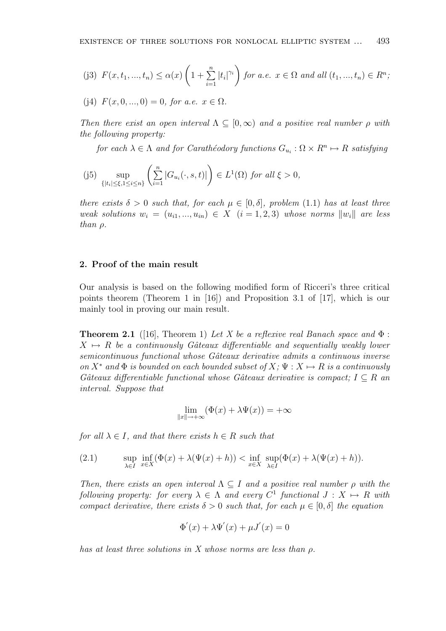(j3) 
$$
F(x, t_1, ..., t_n) \leq \alpha(x) \left(1 + \sum_{i=1}^n |t_i|^{\gamma_i}\right)
$$
 for a.e.  $x \in \Omega$  and all  $(t_1, ..., t_n) \in R^n$ ;

(j4) 
$$
F(x, 0, ..., 0) = 0
$$
, for a.e.  $x \in \Omega$ .

Then there exist an open interval  $\Lambda \subseteq [0,\infty)$  and a positive real number  $\rho$  with the following property:

for each  $\lambda \in \Lambda$  and for Carathéodory functions  $G_{u_i} : \Omega \times R^n \mapsto R$  satisfying

(j5) 
$$
\sup_{\{|t_i|\leq \xi, 1\leq i\leq n\}} \left(\sum_{i=1}^n |G_{u_i}(\cdot, s, t)|\right) \in L^1(\Omega) \text{ for all } \xi > 0,
$$

there exists  $\delta > 0$  such that, for each  $\mu \in [0, \delta]$ , problem (1.1) has at least three weak solutions  $w_i = (u_{i1},...,u_{in}) \in X$   $(i = 1,2,3)$  whose norms  $||w_i||$  are less than  $\rho$ .

### 2. Proof of the main result

Our analysis is based on the following modified form of Ricceri's three critical points theorem (Theorem 1 in [16]) and Proposition 3.1 of [17], which is our mainly tool in proving our main result.

**Theorem 2.1** ([16], Theorem 1) Let X be a reflexive real Banach space and  $\Phi$ :  $X \mapsto R$  be a continuously Gâteaux differentiable and sequentially weakly lower semicontinuous functional whose Gâteaux derivative admits a continuous inverse on  $X^*$  and  $\Phi$  is bounded on each bounded subset of  $X: \Psi: X \mapsto R$  is a continuously Gâteaux differentiable functional whose Gâteaux derivative is compact;  $I \subseteq R$  an interval. Suppose that

$$
\lim_{\|x\|\to+\infty} (\Phi(x)+\lambda\Psi(x))=+\infty
$$

for all  $\lambda \in I$ , and that there exists  $h \in R$  such that

(2.1) 
$$
\sup_{\lambda \in I} \inf_{x \in X} (\Phi(x) + \lambda(\Psi(x) + h)) < \inf_{x \in X} \sup_{\lambda \in I} (\Phi(x) + \lambda(\Psi(x) + h)).
$$

Then, there exists an open interval  $\Lambda \subseteq I$  and a positive real number  $\rho$  with the following property: for every  $\lambda \in \Lambda$  and every  $C^1$  functional  $J: X \mapsto R$  with compact derivative, there exists  $\delta > 0$  such that, for each  $\mu \in [0, \delta]$  the equation

$$
\Phi'(x) + \lambda \Psi'(x) + \mu J'(x) = 0
$$

has at least three solutions in X whose norms are less than ρ.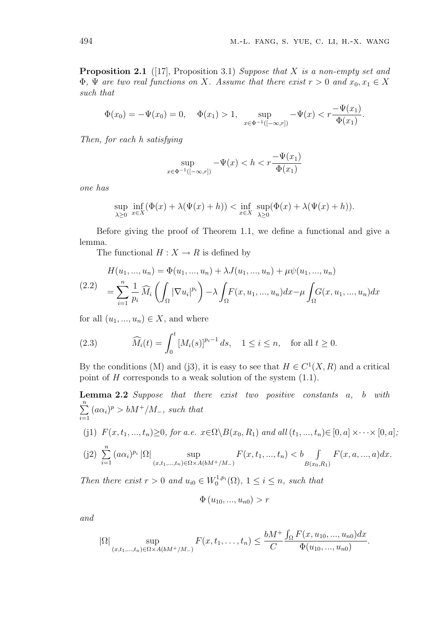**Proposition 2.1** ([17], Proposition 3.1) Suppose that X is a non-empty set and  $\Phi$ ,  $\Psi$  are two real functions on X. Assume that there exist  $r > 0$  and  $x_0, x_1 \in X$ such that

$$
\Phi(x_0) = -\Psi(x_0) = 0, \quad \Phi(x_1) > 1, \quad \sup_{x \in \Phi^{-1}([-\infty, r])} -\Psi(x) < r \frac{-\Psi(x_1)}{\Phi(x_1)}.
$$

Then, for each h satisfying

$$
\sup_{x \in \Phi^{-1}([-\infty, r])} -\Psi(x) < h < r \frac{-\Psi(x_1)}{\Phi(x_1)}
$$

one has

$$
\sup_{\lambda \geq 0} \inf_{x \in X} (\Phi(x) + \lambda(\Psi(x) + h)) < \inf_{x \in X} \sup_{\lambda \geq 0} (\Phi(x) + \lambda(\Psi(x) + h)).
$$

Before giving the proof of Theorem 1.1, we define a functional and give a lemma.

The functional  $H : X \to R$  is defined by

$$
H(u_1, ..., u_n) = \Phi(u_1, ..., u_n) + \lambda J(u_1, ..., u_n) + \mu \psi(u_1, ..., u_n)
$$
  
(2.2) 
$$
= \sum_{i=1}^n \frac{1}{p_i} \widehat{M}_i \left( \int_{\Omega} |\nabla u_i|^{p_i} \right) - \lambda \int_{\Omega} F(x, u_1, ..., u_n) dx - \mu \int_{\Omega} G(x, u_1, ..., u_n) dx
$$

for all  $(u_1, ..., u_n) \in X$ , and where

(2.3) 
$$
\widehat{M}_i(t) = \int_0^t [M_i(s)]^{p_i - 1} ds, \quad 1 \le i \le n, \text{ for all } t \ge 0.
$$

By the conditions (M) and (j3), it is easy to see that  $H \in C^1(X, R)$  and a critical point of  $H$  corresponds to a weak solution of the system  $(1.1)$ .

Lemma 2.2 Suppose that there exist two positive constants a, b with  $\frac{n}{2}$  $i=1$  $(a\alpha_i)^p > bM^+/M^-,$  such that (j1)  $F(x, t_1, ..., t_n) \geq 0$ , for a.e.  $x \in \Omega \setminus B(x_0, R_1)$  and all  $(t_1, ..., t_n) \in [0, a] \times \cdots \times [0, a]$ ;  $(j2) \sum_{n=1}^n$  $i=1$  $(a\alpha_i)^{p_i} |\Omega|$  sup  $(x,t_1,...,t_n) \in \Omega \times A(bM^+/M^-)$  $F(x, t_1, ..., t_n) < b$   $\int$  $B(x_0,R_1)$  $F(x, a, ..., a)dx$ .

Then there exist  $r > 0$  and  $u_{i0} \in W_0^{1,p_i}(\Omega)$ ,  $1 \leq i \leq n$ , such that

$$
\Phi(u_{10},...,u_{n0}) > r
$$

and

$$
|\Omega| \sup_{(x,t_1,...,t_n)\in\Omega\times A(bM^+/M_-)} F(x,t_1,...,t_n) \leq \frac{bM^+}{C} \frac{\int_{\Omega} F(x,u_{10},...,u_{n0})dx}{\Phi(u_{10},...,u_{n0})}.
$$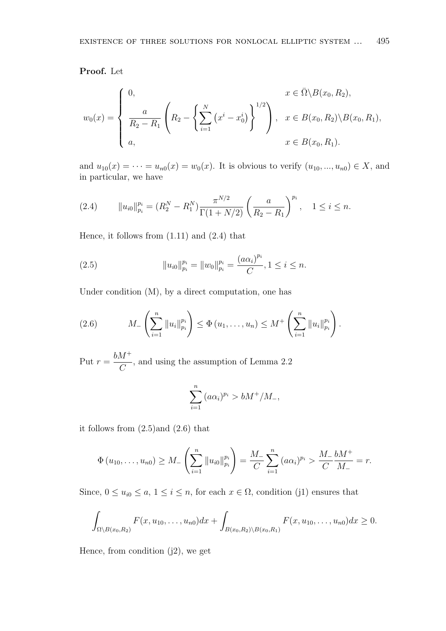Proof. Let

$$
w_0(x) = \begin{cases} 0, & x \in \bar{\Omega} \setminus B(x_0, R_2), \\ \frac{a}{R_2 - R_1} \left( R_2 - \left\{ \sum_{i=1}^N (x^i - x_0^i) \right\}^{1/2} \right), & x \in B(x_0, R_2) \setminus B(x_0, R_1), \\ a, & x \in B(x_0, R_1). \end{cases}
$$

and  $u_{10}(x) = \cdots = u_{n0}(x) = w_0(x)$ . It is obvious to verify  $(u_{10}, ..., u_{n0}) \in X$ , and in particular, we have

$$
(2.4) \t\t ||u_{i0}||_{p_i}^{p_i} = (R_2^N - R_1^N) \frac{\pi^{N/2}}{\Gamma(1 + N/2)} \left(\frac{a}{R_2 - R_1}\right)^{p_i}, \quad 1 \le i \le n.
$$

Hence, it follows from  $(1.11)$  and  $(2.4)$  that

(2.5) 
$$
||u_{i0}||_{p_i}^{p_i} = ||w_0||_{p_i}^{p_i} = \frac{(a\alpha_i)^{p_i}}{C}, 1 \le i \le n.
$$

Under condition (M), by a direct computation, one has

(2.6) 
$$
M_{-}\left(\sum_{i=1}^{n} \|u_{i}\|_{p_{i}}^{p_{i}}\right) \leq \Phi(u_{1},...,u_{n}) \leq M^{+}\left(\sum_{i=1}^{n} \|u_{i}\|_{p_{i}}^{p_{i}}\right).
$$

Put  $r =$  $bM^+$  $\mathcal{C}_{0}^{(n)}$ , and using the assumption of Lemma 2.2

$$
\sum_{i=1}^{n} (a\alpha_i)^{p_i} > bM^+/M_-,
$$

it follows from (2.5)and (2.6) that

$$
\Phi(u_{10},\ldots,u_{n0}) \geq M_{-}\left(\sum_{i=1}^{n} \|u_{i0}\|_{p_i}^{p_i}\right) = \frac{M_{-}}{C} \sum_{i=1}^{n} (a\alpha_i)^{p_i} > \frac{M_{-}}{C} \frac{bM^{+}}{M_{-}} = r.
$$

Since,  $0 \le u_{i0} \le a, 1 \le i \le n$ , for each  $x \in \Omega$ , condition (j1) ensures that

$$
\int_{\Omega \setminus B(x_0,R_2)} F(x,u_{10},\ldots,u_{n0}) dx + \int_{B(x_0,R_2) \setminus B(x_0,R_1)} F(x,u_{10},\ldots,u_{n0}) dx \geq 0.
$$

Hence, from condition  $(j2)$ , we get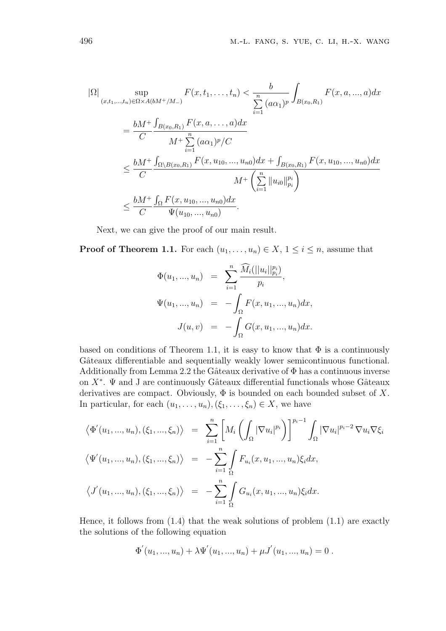$$
|\Omega| \sup_{(x,t_1,\ldots,t_n)\in\Omega\times A(bM^+/M_-)} F(x,t_1,\ldots,t_n) < \frac{b}{\sum_{i=1}^n (a\alpha_1)^p} \int_{B(x_0,R_1)} F(x,a,\ldots,a)dx
$$
  
\n
$$
= \frac{bM^+}{C} \frac{\int_{B(x_0,R_1)} F(x,a,\ldots,a)dx}{M^+ \sum_{i=1}^n (a\alpha_1)^p/C}
$$
  
\n
$$
\leq \frac{bM^+}{C} \frac{\int_{\Omega\setminus B(x_0,R_1)} F(x,u_1,1,\ldots,u_{n0})dx + \int_{B(x_0,R_1)} F(x,u_1,1,\ldots,u_{n0})dx}{M^+ \left(\sum_{i=1}^n ||u_{i0}||_{p_i}^{p_i}\right)}
$$
  
\n
$$
\leq \frac{bM^+}{C} \frac{\int_{\Omega} F(x,u_1,1,\ldots,u_{n0})dx}{\Psi(u_1,1,\ldots,u_{n0})}.
$$

Next, we can give the proof of our main result.

**Proof of Theorem 1.1.** For each  $(u_1, \ldots, u_n) \in X$ ,  $1 \leq i \leq n$ , assume that

$$
\Phi(u_1, ..., u_n) = \sum_{i=1}^n \frac{\widehat{M}_i(||u_i||_{p_i}^{p_i})}{p_i},
$$
  

$$
\Psi(u_1, ..., u_n) = -\int_{\Omega} F(x, u_1, ..., u_n) dx,
$$
  

$$
J(u, v) = -\int_{\Omega} G(x, u_1, ..., u_n) dx.
$$

based on conditions of Theorem 1.1, it is easy to know that  $\Phi$  is a continuously Gâteaux differentiable and sequentially weakly lower semicontinuous functional. Additionally from Lemma 2.2 the Gâteaux derivative of  $\Phi$  has a continuous inverse on  $X^*$ .  $\Psi$  and J are continuously Gâteaux differential functionals whose Gâteaux derivatives are compact. Obviously,  $\Phi$  is bounded on each bounded subset of X. In particular, for each  $(u_1, \ldots, u_n), (\xi_1, \ldots, \xi_n) \in X$ , we have

$$
\langle \Phi'(u_1, ..., u_n), (\xi_1, ..., \xi_n) \rangle = \sum_{i=1}^n \left[ M_i \left( \int_{\Omega} |\nabla u_i|^{p_i} \right) \right]^{p_i - 1} \int_{\Omega} |\nabla u_i|^{p_i - 2} \nabla u_i \nabla \xi_i
$$
  

$$
\langle \Psi'(u_1, ..., u_n), (\xi_1, ..., \xi_n) \rangle = -\sum_{i=1}^n \int_{\Omega} F_{u_i}(x, u_1, ..., u_n) \xi_i dx,
$$
  

$$
\langle J'(u_1, ..., u_n), (\xi_1, ..., \xi_n) \rangle = -\sum_{i=1}^n \int_{\Omega} G_{u_i}(x, u_1, ..., u_n) \xi_i dx.
$$

Hence, it follows from  $(1.4)$  that the weak solutions of problem  $(1.1)$  are exactly the solutions of the following equation

$$
\Phi'(u_1, ..., u_n) + \lambda \Psi'(u_1, ..., u_n) + \mu J'(u_1, ..., u_n) = 0.
$$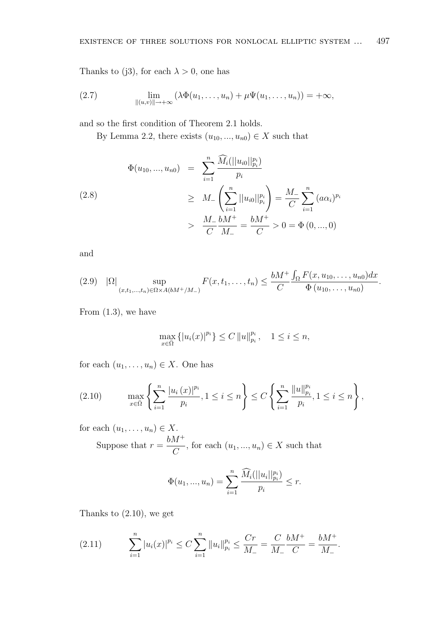Thanks to (j3), for each  $\lambda > 0$ , one has

(2.7) 
$$
\lim_{\|(u,v)\|\to+\infty} (\lambda \Phi(u_1,\ldots,u_n)+\mu \Psi(u_1,\ldots,u_n))=+\infty,
$$

and so the first condition of Theorem 2.1 holds.

By Lemma 2.2, there exists  $(u_{10},..., u_{n0}) \in X$  such that

$$
\Phi(u_{10},...,u_{n0}) = \sum_{i=1}^{n} \frac{\widehat{M}_{i}(||u_{i0}||_{p_{i}}^{p_{i}})}{p_{i}}
$$
\n
$$
\geq M_{-} \left( \sum_{i=1}^{n} ||u_{i0}||_{p_{i}}^{p_{i}} \right) = \frac{M_{-}}{C} \sum_{i=1}^{n} (a\alpha_{i})^{p_{i}}
$$
\n
$$
> \frac{M_{-}}{C} \frac{bM^{+}}{M_{-}} = \frac{bM^{+}}{C} > 0 = \Phi(0,...,0)
$$

and

$$
(2.9) \quad |\Omega| \sup_{(x,t_1,...,t_n)\in\Omega\times A(bM^+/M_-)} F(x,t_1,...,t_n) \leq \frac{bM^+}{C} \frac{\int_{\Omega} F(x,u_{10},...,u_{n0}) dx}{\Phi(u_{10},...,u_{n0})}.
$$

From  $(1.3)$ , we have

$$
\max_{x \in \bar{\Omega}} \{|u_i(x)|^{p_i}\} \le C \|u\|_{p_i}^{p_i}, \quad 1 \le i \le n,
$$

for each  $(u_1, \ldots, u_n) \in X$ . One has

$$
(2.10) \qquad \max_{x \in \bar{\Omega}} \left\{ \sum_{i=1}^{n} \frac{|u_i(x)|^{p_i}}{p_i}, 1 \leq i \leq n \right\} \leq C \left\{ \sum_{i=1}^{n} \frac{\|u\|_{p_i}^{p_i}}{p_i}, 1 \leq i \leq n \right\},\
$$

for each  $(u_1, \ldots, u_n) \in X$ . Suppose that  $r =$  $bM^+$  $\frac{d}{C}$ , for each  $(u_1, ..., u_n) \in X$  such that

$$
\Phi(u_1, ..., u_n) = \sum_{i=1}^n \frac{\widehat{M}_i(||u_i||_{p_i}^{p_i})}{p_i} \le r.
$$

Thanks to  $(2.10)$ , we get

$$
(2.11) \qquad \sum_{i=1}^{n} |u_i(x)|^{p_i} \le C \sum_{i=1}^{n} ||u_i||_{p_i}^{p_i} \le \frac{Cr}{M_-} = \frac{C}{M_-} \frac{bM^+}{C} = \frac{bM^+}{M_-}.
$$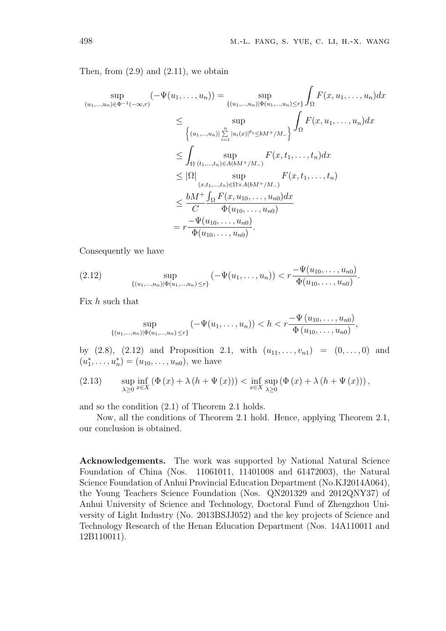Then, from  $(2.9)$  and  $(2.11)$ , we obtain

$$
\sup_{(u_1,...,u_n)\in\Phi^{-1}(-\infty,r)}(-\Psi(u_1,...,u_n)) = \sup_{\{(u_1,...,u_n)\in\Phi(u_1,...,u_n)\leq r\}} \int_{\Omega} F(x, u_1,...,u_n) dx
$$
  
\n
$$
\leq \sup_{\{(u_1,...,u_n)\}} \sum_{i=1}^{n} |u_i(x)|^{p_i} \leq bM + /M_{-}\} \int_{\Omega} F(x, u_1,...,u_n) dx
$$
  
\n
$$
\leq \int_{\Omega} \sup_{(t_1,...,t_n)\in A(bM+/M_{-})} F(x, t_1,...,t_n) dx
$$
  
\n
$$
\leq |\Omega| \sup_{(x,t_1,...,t_n)\in\Omega\times A(bM+/M_{-})} F(x, t_1,...,t_n)
$$
  
\n
$$
\leq \frac{bM + \int_{\Omega} F(x, u_1, ..., u_n) dx}{C \Phi(u_1, ..., u_n)}
$$
  
\n
$$
= r \frac{-\Psi(u_1, ..., u_n)}{\Phi(u_1, ..., u_n)}
$$

Consequently we have

(2.12) 
$$
\sup_{\{(u_1,\ldots,u_n)\mid \Phi(u_1,\ldots,u_n)\leq r\}}\left(-\Psi(u_1,\ldots,u_n)\right)<\,r\frac{-\Psi(u_{10},\ldots,u_{n0})}{\Phi(u_{10},\ldots,u_{n0})}.
$$

Fix  $h$  such that

$$
\sup_{\{(u_1,\ldots,u_n)\in\mathbb{N}^1\atop n\neq j\}}\left(-\Psi(u_1,\ldots,u_n)\right)
$$

by  $(2.8)$ ,  $(2.12)$  and Proposition 2.1, with  $(u_{11}, \ldots, u_{n1}) = (0, \ldots, 0)$  and  $(u_1^*, \ldots, u_n^*) = (u_{10}, \ldots, u_{n0}),$  we have

(2.13) 
$$
\sup_{\lambda \geq 0} \inf_{x \in X} (\Phi(x) + \lambda (h + \Psi(x))) < \inf_{x \in X} \sup_{\lambda \geq 0} (\Phi(x) + \lambda (h + \Psi(x))),
$$

and so the condition (2.1) of Theorem 2.1 holds.

Now, all the conditions of Theorem 2.1 hold. Hence, applying Theorem 2.1, our conclusion is obtained.

Acknowledgements. The work was supported by National Natural Science Foundation of China (Nos. 11061011, 11401008 and 61472003), the Natural Science Foundation of Anhui Provincial Education Department (No.KJ2014A064), the Young Teachers Science Foundation (Nos. QN201329 and 2012QNY37) of Anhui University of Science and Technology, Doctoral Fund of Zhengzhou University of Light Industry (No. 2013BSJJ052) and the key projects of Science and Technology Research of the Henan Education Department (Nos. 14A110011 and 12B110011).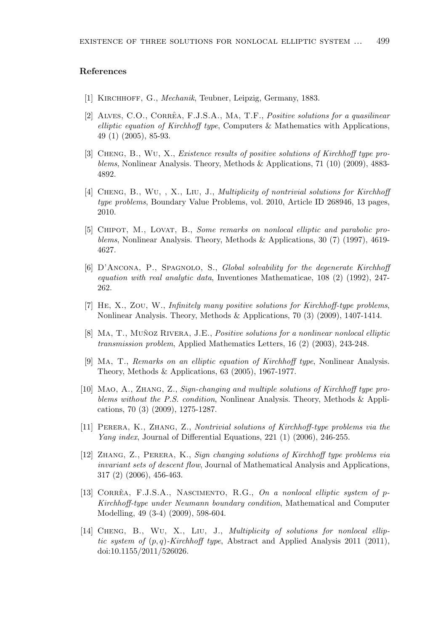### References

- [1] KIRCHHOFF, G., *Mechanik*, Teubner, Leipzig, Germany, 1883.
- [2] ALVES, C.O., CORRÊA, F.J.S.A., MA, T.F., *Positive solutions for a quasilinear* elliptic equation of Kirchhoff type, Computers & Mathematics with Applications, 49 (1) (2005), 85-93.
- [3] Cheng, B., Wu, X., Existence results of positive solutions of Kirchhoff type problems, Nonlinear Analysis. Theory, Methods & Applications, 71 (10) (2009), 4883-4892.
- [4] CHENG, B., WU, , X., LIU, J., *Multiplicity of nontrivial solutions for Kirchhoff* type problems, Boundary Value Problems, vol. 2010, Article ID 268946, 13 pages, 2010.
- [5] Chipot, M., Lovat, B., Some remarks on nonlocal elliptic and parabolic problems, Nonlinear Analysis. Theory, Methods & Applications, 30 (7) (1997), 4619- 4627.
- [6] D'Ancona, P., Spagnolo, S., Global solvability for the degenerate Kirchhoff equation with real analytic data, Inventiones Mathematicae,  $108$  (2) (1992), 247-262.
- [7] He, X., Zou, W., Infinitely many positive solutions for Kirchhoff-type problems, Nonlinear Analysis. Theory, Methods & Applications, 70 (3) (2009), 1407-1414.
- [8] MA, T., MUÑOZ RIVERA, J.E., *Positive solutions for a nonlinear nonlocal elliptic* transmission problem, Applied Mathematics Letters, 16 (2) (2003), 243-248.
- [9] Ma, T., Remarks on an elliptic equation of Kirchhoff type, Nonlinear Analysis. Theory, Methods & Applications, 63 (2005), 1967-1977.
- [10] Mao, A., Zhang, Z., Sign-changing and multiple solutions of Kirchhoff type problems without the P.S. condition, Nonlinear Analysis. Theory, Methods & Applications, 70 (3) (2009), 1275-1287.
- [11] Perera, K., Zhang, Z., Nontrivial solutions of Kirchhoff-type problems via the Yang index, Journal of Differential Equations, 221 (1) (2006), 246-255.
- [12] Zhang, Z., Perera, K., Sign changing solutions of Kirchhoff type problems via invariant sets of descent flow, Journal of Mathematical Analysis and Applications, 317 (2) (2006), 456-463.
- [13] CORRÊA, F.J.S.A., NASCIMENTO, R.G., On a nonlocal elliptic system of  $p$ -Kirchhoff-type under Neumann boundary condition, Mathematical and Computer Modelling, 49 (3-4) (2009), 598-604.
- [14] CHENG, B., WU, X., LIU, J., *Multiplicity of solutions for nonlocal ellip*tic system of  $(p, q)$ -Kirchhoff type, Abstract and Applied Analysis 2011 (2011), doi:10.1155/2011/526026.